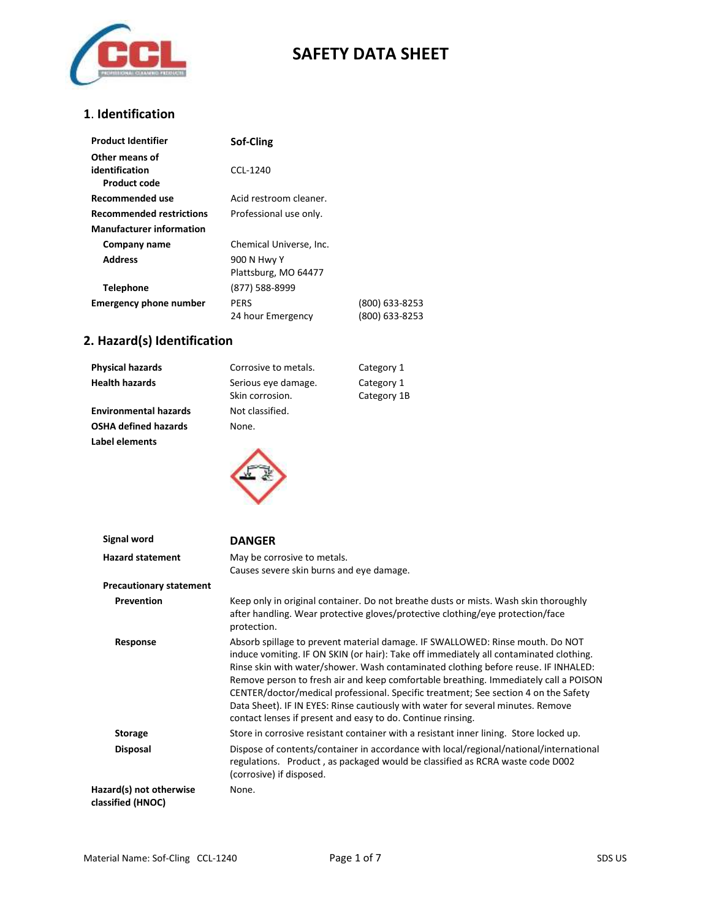

### **1**. **Identification**

| <b>Product Identifier</b>                               | Sof-Cling               |                |
|---------------------------------------------------------|-------------------------|----------------|
| Other means of<br>identification<br><b>Product code</b> | CCL-1240                |                |
| Recommended use                                         | Acid restroom cleaner.  |                |
| <b>Recommended restrictions</b>                         | Professional use only.  |                |
| <b>Manufacturer information</b>                         |                         |                |
| Company name                                            | Chemical Universe, Inc. |                |
| <b>Address</b>                                          | 900 N Hwy Y             |                |
|                                                         | Plattsburg, MO 64477    |                |
| <b>Telephone</b>                                        | (877) 588-8999          |                |
| <b>Emergency phone number</b>                           | <b>PERS</b>             | (800) 633-8253 |
|                                                         | 24 hour Emergency       | (800) 633-8253 |

## **2. Hazard(s) Identification**

| <b>Physical hazards</b>      | Corrosive to metals.                   | Category 1                |
|------------------------------|----------------------------------------|---------------------------|
| <b>Health hazards</b>        | Serious eye damage.<br>Skin corrosion. | Category 1<br>Category 1B |
| <b>Environmental hazards</b> | Not classified.                        |                           |
| <b>OSHA defined hazards</b>  | None.                                  |                           |
| Label elements               |                                        |                           |



| Signal word                                  | <b>DANGER</b>                                                                                                                                                                                                                                                                                                                                                                                                                                                                                                                                                                                   |
|----------------------------------------------|-------------------------------------------------------------------------------------------------------------------------------------------------------------------------------------------------------------------------------------------------------------------------------------------------------------------------------------------------------------------------------------------------------------------------------------------------------------------------------------------------------------------------------------------------------------------------------------------------|
| <b>Hazard statement</b>                      | May be corrosive to metals.<br>Causes severe skin burns and eye damage.                                                                                                                                                                                                                                                                                                                                                                                                                                                                                                                         |
| <b>Precautionary statement</b>               |                                                                                                                                                                                                                                                                                                                                                                                                                                                                                                                                                                                                 |
| <b>Prevention</b>                            | Keep only in original container. Do not breathe dusts or mists. Wash skin thoroughly<br>after handling. Wear protective gloves/protective clothing/eye protection/face<br>protection.                                                                                                                                                                                                                                                                                                                                                                                                           |
| Response                                     | Absorb spillage to prevent material damage. IF SWALLOWED: Rinse mouth. Do NOT<br>induce vomiting. IF ON SKIN (or hair): Take off immediately all contaminated clothing.<br>Rinse skin with water/shower. Wash contaminated clothing before reuse. IF INHALED:<br>Remove person to fresh air and keep comfortable breathing. Immediately call a POISON<br>CENTER/doctor/medical professional. Specific treatment; See section 4 on the Safety<br>Data Sheet). IF IN EYES: Rinse cautiously with water for several minutes. Remove<br>contact lenses if present and easy to do. Continue rinsing. |
| <b>Storage</b>                               | Store in corrosive resistant container with a resistant inner lining. Store locked up.                                                                                                                                                                                                                                                                                                                                                                                                                                                                                                          |
| <b>Disposal</b>                              | Dispose of contents/container in accordance with local/regional/national/international<br>regulations. Product, as packaged would be classified as RCRA waste code D002<br>(corrosive) if disposed.                                                                                                                                                                                                                                                                                                                                                                                             |
| Hazard(s) not otherwise<br>classified (HNOC) | None.                                                                                                                                                                                                                                                                                                                                                                                                                                                                                                                                                                                           |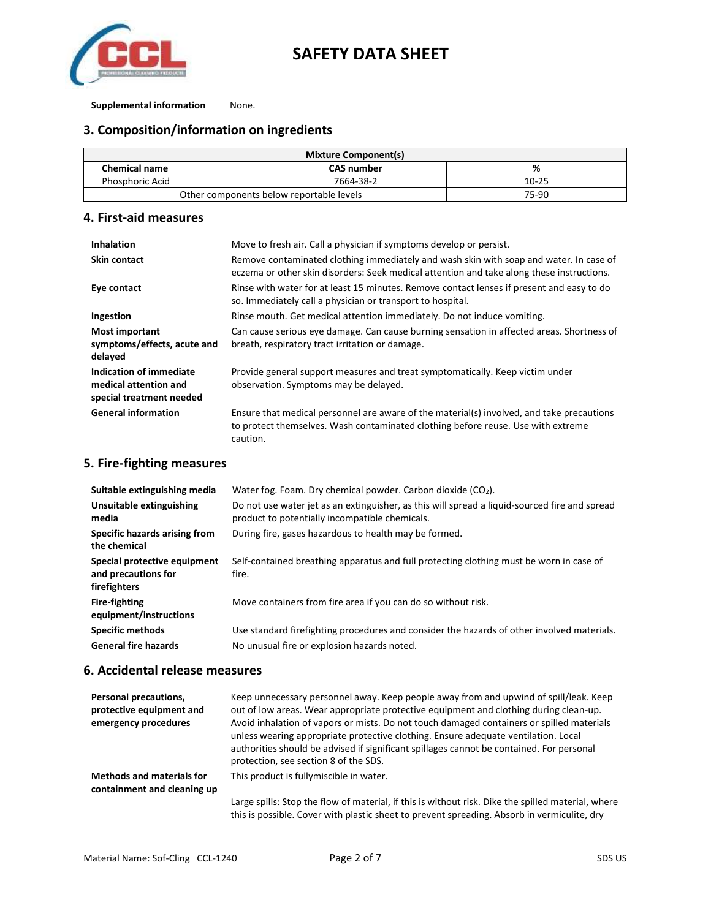

#### **Supplemental information** None.

### **3. Composition/information on ingredients**

| <b>Mixture Component(s)</b>              |                   |           |
|------------------------------------------|-------------------|-----------|
| <b>Chemical name</b>                     | <b>CAS number</b> | %         |
| <b>Phosphoric Acid</b>                   | 7664-38-2         | $10 - 25$ |
| Other components below reportable levels |                   | 75-90     |

#### **4. First-aid measures**

| <b>Inhalation</b>                                                            | Move to fresh air. Call a physician if symptoms develop or persist.                                                                                                                       |
|------------------------------------------------------------------------------|-------------------------------------------------------------------------------------------------------------------------------------------------------------------------------------------|
| <b>Skin contact</b>                                                          | Remove contaminated clothing immediately and wash skin with soap and water. In case of<br>eczema or other skin disorders: Seek medical attention and take along these instructions.       |
| Eye contact                                                                  | Rinse with water for at least 15 minutes. Remove contact lenses if present and easy to do<br>so. Immediately call a physician or transport to hospital.                                   |
| Ingestion                                                                    | Rinse mouth. Get medical attention immediately. Do not induce vomiting.                                                                                                                   |
| Most important<br>symptoms/effects, acute and<br>delayed                     | Can cause serious eye damage. Can cause burning sensation in affected areas. Shortness of<br>breath, respiratory tract irritation or damage.                                              |
| Indication of immediate<br>medical attention and<br>special treatment needed | Provide general support measures and treat symptomatically. Keep victim under<br>observation. Symptoms may be delayed.                                                                    |
| <b>General information</b>                                                   | Ensure that medical personnel are aware of the material(s) involved, and take precautions<br>to protect themselves. Wash contaminated clothing before reuse. Use with extreme<br>caution. |

### **5. Fire-fighting measures**

| Suitable extinguishing media                                        | Water fog. Foam. Dry chemical powder. Carbon dioxide $(CO2)$ .                                                                                  |
|---------------------------------------------------------------------|-------------------------------------------------------------------------------------------------------------------------------------------------|
| Unsuitable extinguishing<br>media                                   | Do not use water jet as an extinguisher, as this will spread a liquid-sourced fire and spread<br>product to potentially incompatible chemicals. |
| Specific hazards arising from<br>the chemical                       | During fire, gases hazardous to health may be formed.                                                                                           |
| Special protective equipment<br>and precautions for<br>firefighters | Self-contained breathing apparatus and full protecting clothing must be worn in case of<br>fire.                                                |
| <b>Fire-fighting</b><br>equipment/instructions                      | Move containers from fire area if you can do so without risk.                                                                                   |
| Specific methods                                                    | Use standard firefighting procedures and consider the hazards of other involved materials.                                                      |
| <b>General fire hazards</b>                                         | No unusual fire or explosion hazards noted.                                                                                                     |

#### **6. Accidental release measures**

| Personal precautions,<br>protective equipment and<br>emergency procedures | Keep unnecessary personnel away. Keep people away from and upwind of spill/leak. Keep<br>out of low areas. Wear appropriate protective equipment and clothing during clean-up.<br>Avoid inhalation of vapors or mists. Do not touch damaged containers or spilled materials<br>unless wearing appropriate protective clothing. Ensure adequate ventilation. Local<br>authorities should be advised if significant spillages cannot be contained. For personal<br>protection, see section 8 of the SDS. |
|---------------------------------------------------------------------------|--------------------------------------------------------------------------------------------------------------------------------------------------------------------------------------------------------------------------------------------------------------------------------------------------------------------------------------------------------------------------------------------------------------------------------------------------------------------------------------------------------|
| <b>Methods and materials for</b><br>containment and cleaning up           | This product is fullymiscible in water.                                                                                                                                                                                                                                                                                                                                                                                                                                                                |
|                                                                           | Large spills: Stop the flow of material, if this is without risk. Dike the spilled material, where<br>this is possible. Cover with plastic sheet to prevent spreading. Absorb in vermiculite, dry                                                                                                                                                                                                                                                                                                      |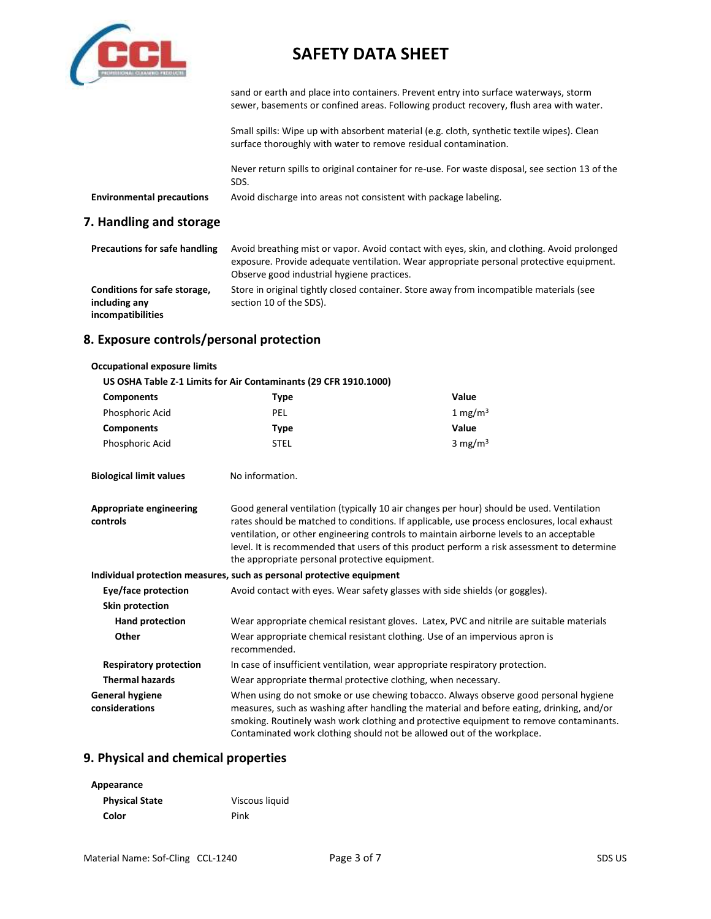

sand or earth and place into containers. Prevent entry into surface waterways, storm sewer, basements or confined areas. Following product recovery, flush area with water.

Small spills: Wipe up with absorbent material (e.g. cloth, synthetic textile wipes). Clean surface thoroughly with water to remove residual contamination.

Never return spills to original container for re-use. For waste disposal, see section 13 of the SDS.

**Environmental precautions** Avoid discharge into areas not consistent with package labeling.

#### **7. Handling and storage**

| <b>Precautions for safe handling</b>                               | Avoid breathing mist or vapor. Avoid contact with eyes, skin, and clothing. Avoid prolonged<br>exposure. Provide adequate ventilation. Wear appropriate personal protective equipment.<br>Observe good industrial hygiene practices. |
|--------------------------------------------------------------------|--------------------------------------------------------------------------------------------------------------------------------------------------------------------------------------------------------------------------------------|
| Conditions for safe storage,<br>including any<br>incompatibilities | Store in original tightly closed container. Store away from incompatible materials (see<br>section 10 of the SDS).                                                                                                                   |

#### **8. Exposure controls/personal protection**

| <b>Occupational exposure limits</b>                              |                                                                                                                                                                                                                                                                                                                                                                                                                                    |                     |
|------------------------------------------------------------------|------------------------------------------------------------------------------------------------------------------------------------------------------------------------------------------------------------------------------------------------------------------------------------------------------------------------------------------------------------------------------------------------------------------------------------|---------------------|
| US OSHA Table Z-1 Limits for Air Contaminants (29 CFR 1910.1000) |                                                                                                                                                                                                                                                                                                                                                                                                                                    |                     |
| <b>Components</b>                                                | <b>Type</b>                                                                                                                                                                                                                                                                                                                                                                                                                        | Value               |
| Phosphoric Acid                                                  | <b>PEL</b>                                                                                                                                                                                                                                                                                                                                                                                                                         | 1 mg/m <sup>3</sup> |
| <b>Components</b>                                                | <b>Type</b>                                                                                                                                                                                                                                                                                                                                                                                                                        | Value               |
| Phosphoric Acid                                                  | <b>STEL</b>                                                                                                                                                                                                                                                                                                                                                                                                                        | 3 mg/m $3$          |
| <b>Biological limit values</b>                                   | No information.                                                                                                                                                                                                                                                                                                                                                                                                                    |                     |
| <b>Appropriate engineering</b><br>controls                       | Good general ventilation (typically 10 air changes per hour) should be used. Ventilation<br>rates should be matched to conditions. If applicable, use process enclosures, local exhaust<br>ventilation, or other engineering controls to maintain airborne levels to an acceptable<br>level. It is recommended that users of this product perform a risk assessment to determine<br>the appropriate personal protective equipment. |                     |
|                                                                  | Individual protection measures, such as personal protective equipment                                                                                                                                                                                                                                                                                                                                                              |                     |
| Eye/face protection                                              | Avoid contact with eyes. Wear safety glasses with side shields (or goggles).                                                                                                                                                                                                                                                                                                                                                       |                     |
| Skin protection                                                  |                                                                                                                                                                                                                                                                                                                                                                                                                                    |                     |
| <b>Hand protection</b>                                           | Wear appropriate chemical resistant gloves. Latex, PVC and nitrile are suitable materials                                                                                                                                                                                                                                                                                                                                          |                     |
| Other                                                            | Wear appropriate chemical resistant clothing. Use of an impervious apron is<br>recommended.                                                                                                                                                                                                                                                                                                                                        |                     |
| <b>Respiratory protection</b>                                    | In case of insufficient ventilation, wear appropriate respiratory protection.                                                                                                                                                                                                                                                                                                                                                      |                     |
| <b>Thermal hazards</b>                                           | Wear appropriate thermal protective clothing, when necessary.                                                                                                                                                                                                                                                                                                                                                                      |                     |
| <b>General hygiene</b><br>considerations                         | When using do not smoke or use chewing tobacco. Always observe good personal hygiene<br>measures, such as washing after handling the material and before eating, drinking, and/or<br>smoking. Routinely wash work clothing and protective equipment to remove contaminants.<br>Contaminated work clothing should not be allowed out of the workplace.                                                                              |                     |

#### **9. Physical and chemical properties**

| Appearance            |                |
|-----------------------|----------------|
| <b>Physical State</b> | Viscous liquid |
| Color                 | Pink           |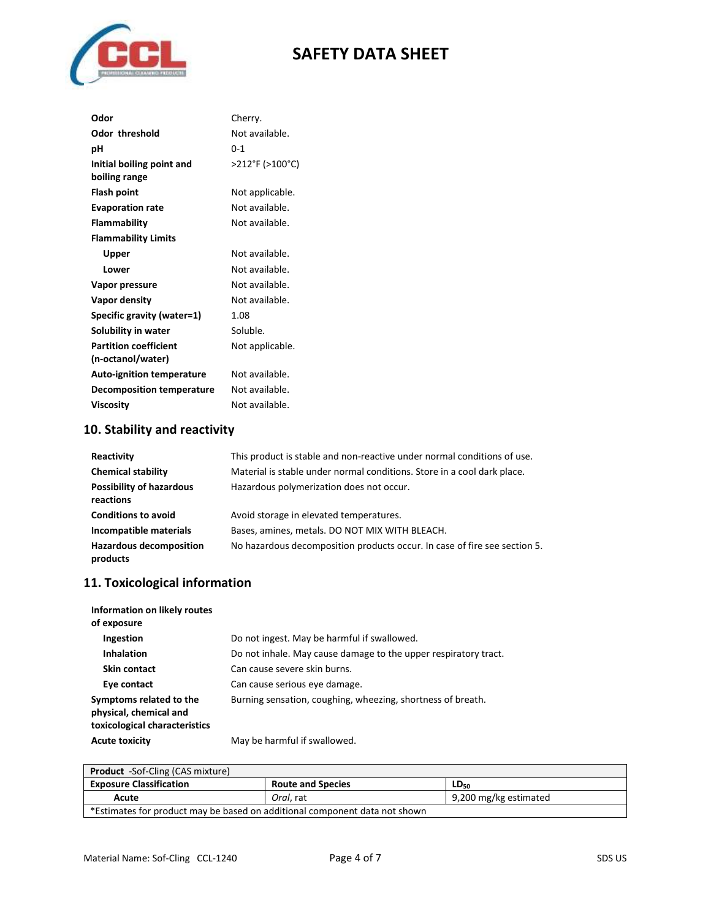

| Odor                             | Cherry.         |
|----------------------------------|-----------------|
| <b>Odor threshold</b>            | Not available.  |
| рH                               | 0-1             |
| Initial boiling point and        | >212°F (>100°C) |
| boiling range                    |                 |
| Flash point                      | Not applicable. |
| <b>Evaporation rate</b>          | Not available.  |
| <b>Flammability</b>              | Not available.  |
| <b>Flammability Limits</b>       |                 |
| Upper                            | Not available.  |
| Lower                            | Not available.  |
| Vapor pressure                   | Not available.  |
| Vapor density                    | Not available.  |
| Specific gravity (water=1)       | 1.08            |
| Solubility in water              | Soluble.        |
| <b>Partition coefficient</b>     | Not applicable. |
| (n-octanol/water)                |                 |
| <b>Auto-ignition temperature</b> | Not available.  |
| <b>Decomposition temperature</b> | Not available.  |
| <b>Viscosity</b>                 | Not available.  |

## **10. Stability and reactivity**

| Reactivity                                   | This product is stable and non-reactive under normal conditions of use.   |
|----------------------------------------------|---------------------------------------------------------------------------|
| <b>Chemical stability</b>                    | Material is stable under normal conditions. Store in a cool dark place.   |
| <b>Possibility of hazardous</b><br>reactions | Hazardous polymerization does not occur.                                  |
| <b>Conditions to avoid</b>                   | Avoid storage in elevated temperatures.                                   |
| Incompatible materials                       | Bases, amines, metals. DO NOT MIX WITH BLEACH.                            |
| <b>Hazardous decomposition</b><br>products   | No hazardous decomposition products occur. In case of fire see section 5. |

## **11. Toxicological information**

| Information on likely routes<br>of exposure                                        |                                                                 |
|------------------------------------------------------------------------------------|-----------------------------------------------------------------|
| Ingestion                                                                          | Do not ingest. May be harmful if swallowed.                     |
| <b>Inhalation</b>                                                                  | Do not inhale. May cause damage to the upper respiratory tract. |
| Skin contact                                                                       | Can cause severe skin burns.                                    |
| Eye contact                                                                        | Can cause serious eye damage.                                   |
| Symptoms related to the<br>physical, chemical and<br>toxicological characteristics | Burning sensation, coughing, wheezing, shortness of breath.     |
| <b>Acute toxicity</b>                                                              | May be harmful if swallowed.                                    |

| <b>Product</b> -Sof-Cling (CAS mixture)                                    |                          |                       |
|----------------------------------------------------------------------------|--------------------------|-----------------------|
| <b>Exposure Classification</b>                                             | <b>Route and Species</b> | LD <sub>50</sub>      |
| Acute                                                                      | Oral. rat                | 9,200 mg/kg estimated |
| *Estimates for product may be based on additional component data not shown |                          |                       |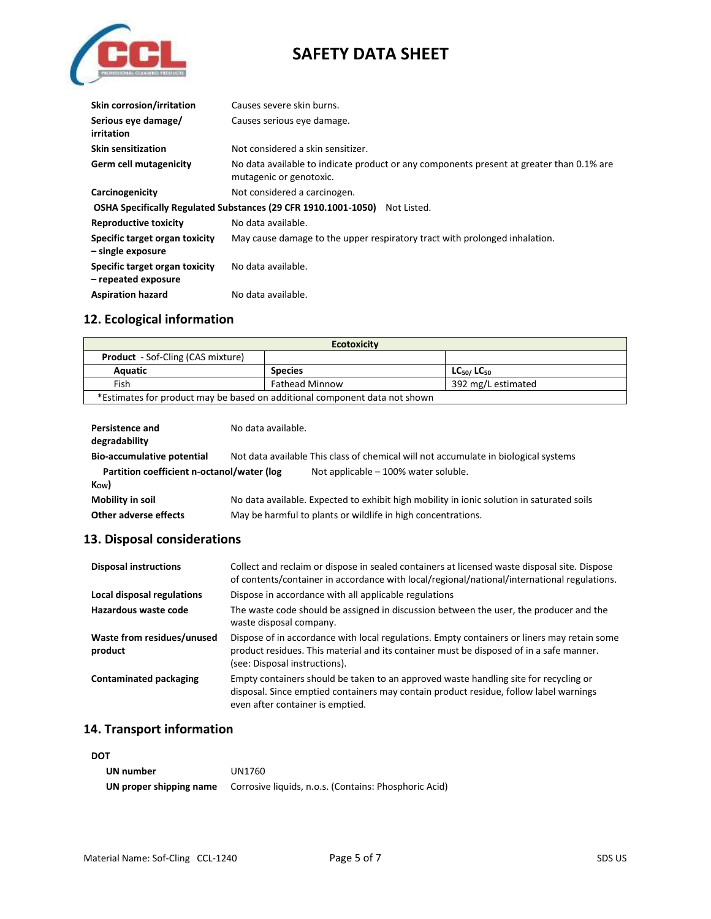

| <b>Skin corrosion/irritation</b>                                              | Causes severe skin burns.                                                                                           |  |  |
|-------------------------------------------------------------------------------|---------------------------------------------------------------------------------------------------------------------|--|--|
| Serious eye damage/<br>irritation                                             | Causes serious eye damage.                                                                                          |  |  |
| <b>Skin sensitization</b>                                                     | Not considered a skin sensitizer.                                                                                   |  |  |
| Germ cell mutagenicity                                                        | No data available to indicate product or any components present at greater than 0.1% are<br>mutagenic or genotoxic. |  |  |
| Carcinogenicity<br>Not considered a carcinogen.                               |                                                                                                                     |  |  |
| OSHA Specifically Regulated Substances (29 CFR 1910.1001-1050)<br>Not Listed. |                                                                                                                     |  |  |
| <b>Reproductive toxicity</b>                                                  | No data available.                                                                                                  |  |  |
| Specific target organ toxicity<br>- single exposure                           | May cause damage to the upper respiratory tract with prolonged inhalation.                                          |  |  |
| Specific target organ toxicity<br>- repeated exposure                         | No data available.                                                                                                  |  |  |
| <b>Aspiration hazard</b>                                                      | No data available.                                                                                                  |  |  |

## **12. Ecological information**

| <b>Ecotoxicity</b>                                                         |                       |                       |
|----------------------------------------------------------------------------|-----------------------|-----------------------|
| <b>Product</b> - Sof-Cling (CAS mixture)                                   |                       |                       |
| Aquatic                                                                    | <b>Species</b>        | $LC_{50}$ / $LC_{50}$ |
| Fish                                                                       | <b>Fathead Minnow</b> | 392 mg/L estimated    |
| *Estimates for product may be based on additional component data not shown |                       |                       |

| <b>Persistence and</b>                     | No data available.                                                                        |                                                                                     |
|--------------------------------------------|-------------------------------------------------------------------------------------------|-------------------------------------------------------------------------------------|
| degradability                              |                                                                                           |                                                                                     |
| <b>Bio-accumulative potential</b>          |                                                                                           | Not data available This class of chemical will not accumulate in biological systems |
| Partition coefficient n-octanol/water (log |                                                                                           | Not applicable $-100\%$ water soluble.                                              |
| $K_{OW}$                                   |                                                                                           |                                                                                     |
| Mobility in soil                           | No data available. Expected to exhibit high mobility in ionic solution in saturated soils |                                                                                     |
| Other adverse effects                      |                                                                                           | May be harmful to plants or wildlife in high concentrations.                        |

## **13. Disposal considerations**

| <b>Disposal instructions</b>          | Collect and reclaim or dispose in sealed containers at licensed waste disposal site. Dispose<br>of contents/container in accordance with local/regional/national/international regulations.                             |
|---------------------------------------|-------------------------------------------------------------------------------------------------------------------------------------------------------------------------------------------------------------------------|
| Local disposal regulations            | Dispose in accordance with all applicable regulations                                                                                                                                                                   |
| Hazardous waste code                  | The waste code should be assigned in discussion between the user, the producer and the<br>waste disposal company.                                                                                                       |
| Waste from residues/unused<br>product | Dispose of in accordance with local regulations. Empty containers or liners may retain some<br>product residues. This material and its container must be disposed of in a safe manner.<br>(see: Disposal instructions). |
| <b>Contaminated packaging</b>         | Empty containers should be taken to an approved waste handling site for recycling or<br>disposal. Since emptied containers may contain product residue, follow label warnings<br>even after container is emptied.       |

## **14. Transport information**

| <b>DOT</b>              |                                                       |  |
|-------------------------|-------------------------------------------------------|--|
| UN number               | UN1760                                                |  |
| UN proper shipping name | Corrosive liquids, n.o.s. (Contains: Phosphoric Acid) |  |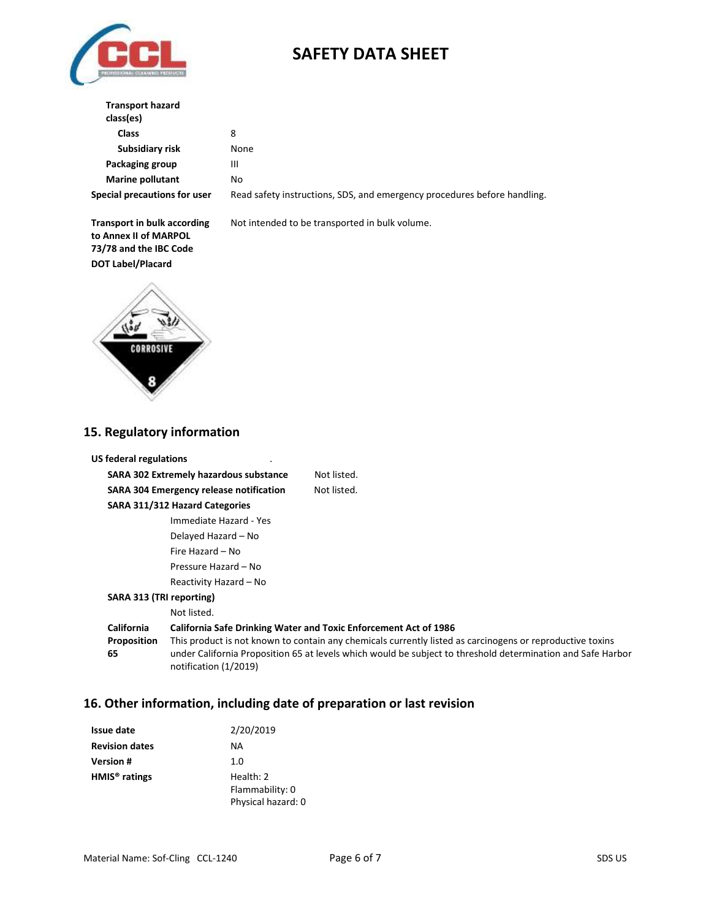

| <b>Transport hazard</b><br>class(es) |    |
|--------------------------------------|----|
| Class                                | 8  |
| Subsidiary risk                      | No |
| Packaging group                      | Ш  |
| <b>Marine pollutant</b>              | No |
| Special precautions for user         |    |

**None** 

Special precautions for user Read safety instructions, SDS, and emergency procedures before handling.

**Transport in bulk according to Annex II of MARPOL 73/78 and the IBC Code DOT Label/Placard**

Not intended to be transported in bulk volume.



### **15. Regulatory information**

| <b>US federal regulations</b>                                                                                                                                                                                                                                          |                                                |                                                                         |
|------------------------------------------------------------------------------------------------------------------------------------------------------------------------------------------------------------------------------------------------------------------------|------------------------------------------------|-------------------------------------------------------------------------|
|                                                                                                                                                                                                                                                                        | <b>SARA 302 Extremely hazardous substance</b>  | Not listed.                                                             |
|                                                                                                                                                                                                                                                                        | <b>SARA 304 Emergency release notification</b> | Not listed.                                                             |
| SARA 311/312 Hazard Categories                                                                                                                                                                                                                                         |                                                |                                                                         |
|                                                                                                                                                                                                                                                                        | Immediate Hazard - Yes                         |                                                                         |
|                                                                                                                                                                                                                                                                        | Delayed Hazard – No                            |                                                                         |
|                                                                                                                                                                                                                                                                        | Fire Hazard - No                               |                                                                         |
|                                                                                                                                                                                                                                                                        | Pressure Hazard - No                           |                                                                         |
|                                                                                                                                                                                                                                                                        | Reactivity Hazard – No                         |                                                                         |
| SARA 313 (TRI reporting)                                                                                                                                                                                                                                               |                                                |                                                                         |
|                                                                                                                                                                                                                                                                        | Not listed.                                    |                                                                         |
| <b>California</b>                                                                                                                                                                                                                                                      |                                                | <b>California Safe Drinking Water and Toxic Enforcement Act of 1986</b> |
| This product is not known to contain any chemicals currently listed as carcinogens or reproductive toxins<br>Proposition<br>65<br>under California Proposition 65 at levels which would be subject to threshold determination and Safe Harbor<br>notification (1/2019) |                                                |                                                                         |

## **16. Other information, including date of preparation or last revision**

| <b>Issue date</b>         | 2/20/2019          |
|---------------------------|--------------------|
| <b>Revision dates</b>     | NА                 |
| <b>Version #</b>          | 1.0                |
| HMIS <sup>®</sup> ratings | Health: 2          |
|                           | Flammability: 0    |
|                           | Physical hazard: 0 |